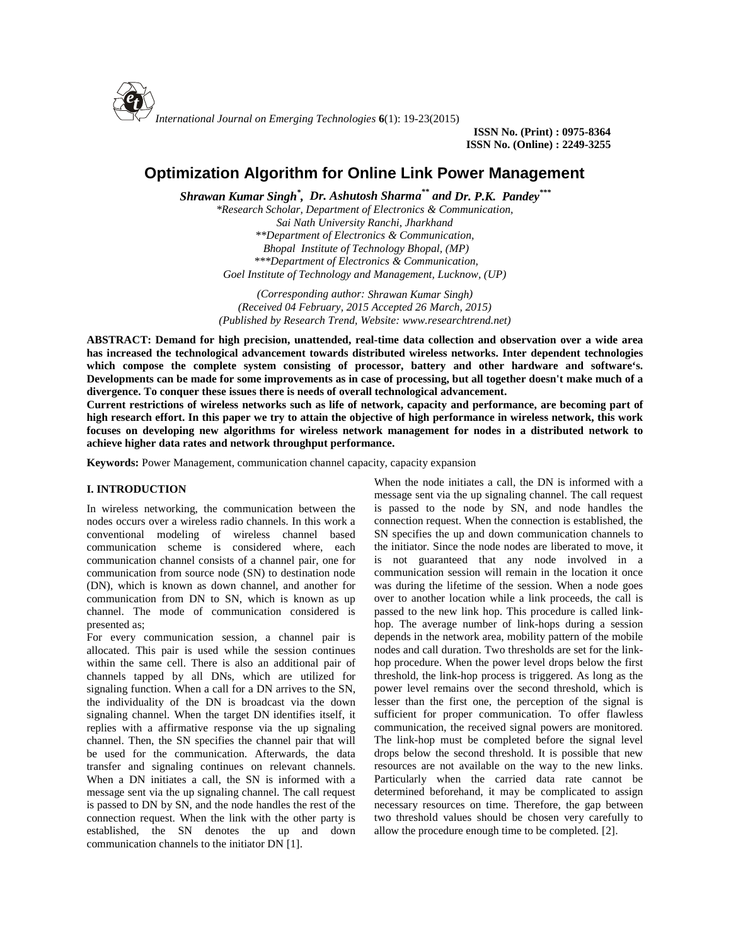

**ISSN No. (Print) : 0975-8364 ISSN No. (Online) : 2249-3255**

# **Optimization Algorithm for Online Link Power Management**

*Shrawan Kumar Singh\* , Dr. Ashutosh Sharma\*\* and Dr. P.K. Pandey\*\*\**

*\*Research Scholar, Department of Electronics & Communication, Sai Nath University Ranchi, Jharkhand \*\*Department of Electronics & Communication, Bhopal Institute of Technology Bhopal, (MP) \*\*\*Department of Electronics & Communication, Goel Institute of Technology and Management, Lucknow, (UP)*

*(Corresponding author: Shrawan Kumar Singh) (Received 04 February, 2015 Accepted 26 March, 2015) (Published by Research Trend, Website: <www.researchtrend.net>)*

**ABSTRACT: Demand for high precision, unattended, real-time data collection and observation over a wide area has increased the technological advancement towards distributed wireless networks. Inter dependent technologies which compose the complete system consisting of processor, battery and other hardware and software's. Developments can be made for some improvements as in case of processing, but all together doesn't make much of a divergence. To conquer these issues there is needs of overall technological advancement.**

**Current restrictions of wireless networks such as life of network, capacity and performance, are becoming part of high research effort. In this paper we try to attain the objective of high performance in wireless network, this work focuses on developing new algorithms for wireless network management for nodes in a distributed network to achieve higher data rates and network throughput performance.**

**Keywords:** Power Management, communication channel capacity, capacity expansion

# **I. INTRODUCTION**

In wireless networking, the communication between the nodes occurs over a wireless radio channels. In this work a conventional modeling of wireless channel based communication scheme is considered where, each communication channel consists of a channel pair, one for communication from source node (SN) to destination node (DN), which is known as down channel, and another for communication from DN to SN, which is known as up channel. The mode of communication considered is presented as;

For every communication session, a channel pair is allocated. This pair is used while the session continues within the same cell. There is also an additional pair of channels tapped by all DNs, which are utilized for signaling function. When a call for a DN arrives to the SN, the individuality of the DN is broadcast via the down signaling channel. When the target DN identifies itself, it replies with a affirmative response via the up signaling channel. Then, the SN specifies the channel pair that will be used for the communication. Afterwards, the data transfer and signaling continues on relevant channels. When a DN initiates a call, the SN is informed with a message sent via the up signaling channel. The call request is passed to DN by SN, and the node handles the rest of the connection request. When the link with the other party is established, the SN denotes the up and down communication channels to the initiator DN [1].

When the node initiates a call, the DN is informed with a message sent via the up signaling channel. The call request is passed to the node by SN, and node handles the connection request. When the connection is established, the SN specifies the up and down communication channels to the initiator. Since the node nodes are liberated to move, it is not guaranteed that any node involved in a communication session will remain in the location it once was during the lifetime of the session. When a node goes over to another location while a link proceeds, the call is passed to the new link hop. This procedure is called link hop. The average number of link-hops during a session depends in the network area, mobility pattern of the mobile nodes and call duration. Two thresholds are set for the link hop procedure. When the power level drops below the first threshold, the link-hop process is triggered. As long as the power level remains over the second threshold, which is lesser than the first one, the perception of the signal is sufficient for proper communication. To offer flawless communication, the received signal powers are monitored. The link-hop must be completed before the signal level drops below the second threshold. It is possible that new resources are not available on the way to the new links. Particularly when the carried data rate cannot be determined beforehand, it may be complicated to assign necessary resources on time. Therefore, the gap between two threshold values should be chosen very carefully to allow the procedure enough time to be completed. [2].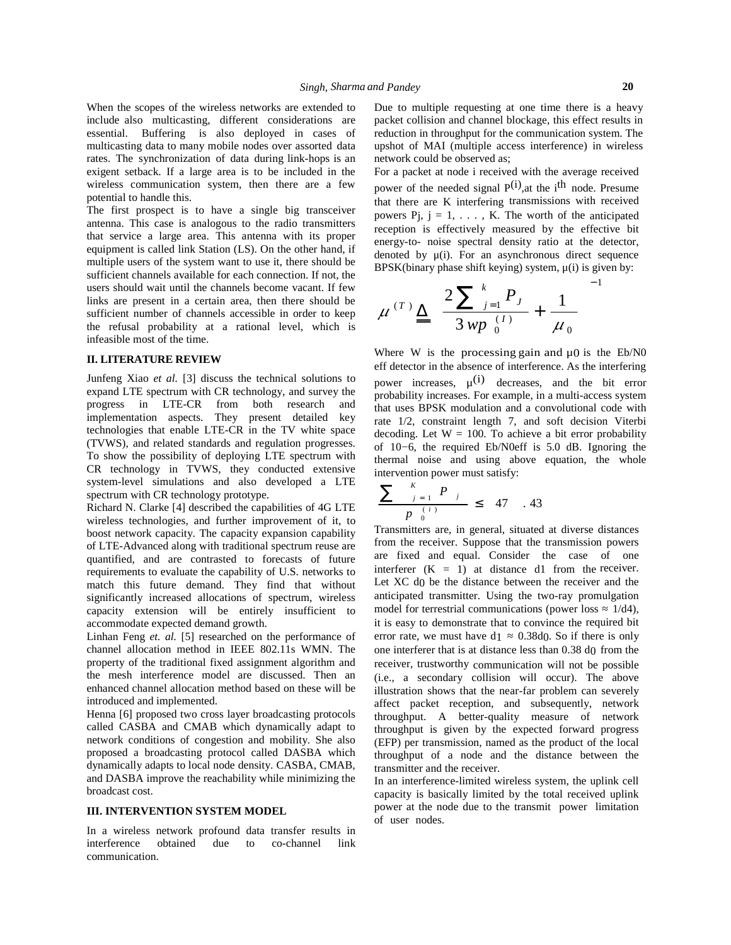When the scopes of the wireless networks are extended to include also multicasting, different considerations are essential. Buffering is also deployed in cases of multicasting data to many mobile nodes over assorted data rates. The synchronization of data during link-hops is an exigent setback. If a large area is to be included in the wireless communication system, then there are a few potential to handle this.

The first prospect is to have a single big transceiver antenna. This case is analogous to the radio transmitters that service a large area. This antenna with its proper equipment is called link Station (LS). On the other hand, if multiple users of the system want to use it, there should be sufficient channels available for each connection. If not, the users should wait until the channels become vacant. If few links are present in a certain area, then there should be sufficient number of channels accessible in order to keep the refusal probability at a rational level, which is infeasible most of the time.

### **II. LITERATURE REVIEW**

Junfeng Xiao *et al.* [3] discuss the technical solutions to expand LTE spectrum with CR technology, and survey the progress in LTE-CR from both research and implementation aspects. They present detailed key technologies that enable LTE-CR in the TV white space (TVWS), and related standards and regulation progresses. To show the possibility of deploying LTE spectrum with CR technology in TVWS, they conducted extensive system-level simulations and also developed a LTE spectrum with CR technology prototype.

Richard N. Clarke [4] described the capabilities of 4G LTE wireless technologies, and further improvement of it, to boost network capacity. The capacity expansion capability of LTE-Advanced along with traditional spectrum reuse are quantified, and are contrasted to forecasts of future requirements to evaluate the capability of U.S. networks to match this future demand. They find that without significantly increased allocations of spectrum, wireless capacity extension will be entirely insufficient to accommodate expected demand growth.

Linhan Feng *et. al.* [5] researched on the performance of channel allocation method in IEEE 802.11s WMN. The property of the traditional fixed assignment algorithm and the mesh interference model are discussed. Then an enhanced channel allocation method based on these will be introduced and implemented.

Henna [6] proposed two cross layer broadcasting protocols called CASBA and CMAB which dynamically adapt to network conditions of congestion and mobility. She also proposed a broadcasting protocol called DASBA which dynamically adapts to local node density. CASBA, CMAB, and DASBA improve the reachability while minimizing the broadcast cost.

## **III. INTERVENTION SYSTEM MODEL**

In a wireless network profound data transfer results in interference obtained due to co-channel link communication.

Due to multiple requesting at one time there is a heavy packet collision and channel blockage, this effect results in reduction in throughput for the communication system. The upshot of MAI (multiple access interference) in wireless network could be observed as;

For a packet at node i received with the average received power of the needed signal  $P^{(i)}$ , at the i<sup>th</sup> node. Presume that there are K interfering transmissions with received powers  $P_j$ ,  $j = 1, \ldots, K$ . The worth of the anticipated reception is effectively measured by the effective bit energy-to- noise spectral density ratio at the detector, denoted by  $\mu(i)$ . For an asynchronous direct sequence BPSK(binary phase shift keying) system, μ(i) is given by:

$$
\mu^{(T)} \underline{\Delta} \left( \frac{2 \sum_{j=1}^{k} P_j}{3 \, wp \, \binom{(I)}{0}} + \frac{1}{\mu_0} \right)^{-1}
$$

Where W is the processing gain and  $\mu$ 0 is the Eb/N0 eff detector in the absence of interference. As the interfering power increases,  $\mu^{(i)}$  decreases, and the bit error probability increases. For example, in a multi-access system that uses BPSK modulation and a convolutional code with rate 1/2, constraint length 7, and soft decision Viterbi decoding. Let  $W = 100$ . To achieve a bit error probability of 10−6, the required Eb/N0eff is 5.0 dB. Ignoring the thermal noise and using above equation, the whole intervention power must satisfy:

$$
\frac{\sum_{j=1}^{K} P_{j}}{p_{0}^{(i)}} \leq 47 .43
$$

it is easy to demonstrate that to convince the required bit Transmitters are, in general, situated at diverse distances from the receiver. Suppose that the transmission powers are fixed and equal. Consider the case of one interferer  $(K = 1)$  at distance d1 from the receiver. Let XC d<sub>0</sub> be the distance between the receiver and the anticipated transmitter. Using the two-ray promulgation model for terrestrial communications (power loss 1/d4), error rate, we must have d1 0.38d0. So if there is only one interferer that is at distance less than 0.38 d0 from the receiver, trustworthy communication will not be possible (i.e., a secondary collision will occur). The above illustration shows that the near-far problem can severely affect packet reception, and subsequently, network throughput. A better-quality measure of network throughput is given by the expected forward progress (EFP) per transmission, named as the product of the local throughput of a node and the distance between the transmitter and the receiver.

In an interference-limited wireless system, the uplink cell capacity is basically limited by the total received uplink power at the node due to the transmit power limitation of user nodes.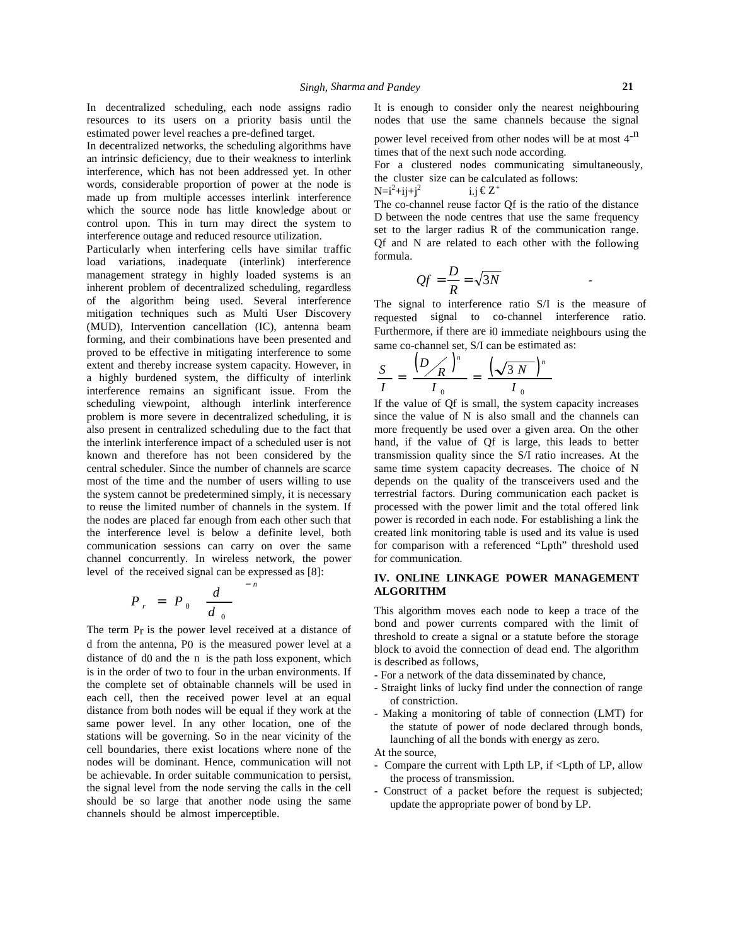In decentralized scheduling, each node assigns radio resources to its users on a priority basis until the estimated power level reaches a pre-defined target.

In decentralized networks, the scheduling algorithms have an intrinsic deficiency, due to their weakness to interlink interference, which has not been addressed yet. In other words, considerable proportion of power at the node is made up from multiple accesses interlink interference which the source node has little knowledge about or control upon. This in turn may direct the system to interference outage and reduced resource utilization.

Particularly when interfering cells have similar traffic load variations, inadequate (interlink) interference management strategy in highly loaded systems is an inherent problem of decentralized scheduling, regardless of the algorithm being used. Several interference mitigation techniques such as Multi User Discovery (MUD), Intervention cancellation (IC), antenna beam forming, and their combinations have been presented and proved to be effective in mitigating interference to some extent and thereby increase system capacity. However, in a highly burdened system, the difficulty of interlink interference remains an significant issue. From the scheduling viewpoint, although interlink interference problem is more severe in decentralized scheduling, it is also present in centralized scheduling due to the fact that the interlink interference impact of a scheduled user is not known and therefore has not been considered by the central scheduler. Since the number of channels are scarce most of the time and the number of users willing to use the system cannot be predetermined simply, it is necessary to reuse the limited number of channels in the system. If the nodes are placed far enough from each other such that the interference level is below a definite level, both communication sessions can carry on over the same channel concurrently. In wireless network, the power level of the received signal can be expressed as [8]:

$$
P_r = P_0 \left( \frac{d}{d_0} \right)^{-n}
$$
 ALGORITHM  
This algorithm m  
bond and power

The term  $P_r$  is the power level received at a distance of d from the antenna, P0 is the measured power level at a distance of d0 and the n is the path loss exponent, which is in the order of two to four in the urban environments. If the complete set of obtainable channels will be used in each cell, then the received power level at an equal distance from both nodes will be equal if they work at the same power level. In any other location, one of the stations will be governing. So in the near vicinity of the cell boundaries, there exist locations where none of the nodes will be dominant. Hence, communication will not be achievable. In order suitable communication to persist, the signal level from the node serving the calls in the cell should be so large that another node using the same channels should be almost imperceptible.

It is enough to consider only the nearest neighbouring nodes that use the same channels because the signal

power level received from other nodes will be at most 4<sup>-n</sup> times that of the next such node according.

For a clustered nodes communicating simultaneously, the cluster size can be calculated as follows:

 $N=i^2+i j+i^2$ i.j  $\epsilon Z^+$ 

The co-channel reuse factor Qf is the ratio of the distance D between the node centres that use the same frequency set to the larger radius R of the communication range. Qf and N are related to each other with the following formula.

$$
Qf = \frac{D}{R} = \sqrt{3N}
$$

The signal to interference ratio S/I is the measure of requested signal to co-channel interference ratio. Furthermore, if there are i0 immediate neighbours using the same co-channel set, S/I can be estimated as:

$$
\frac{S}{I} = \frac{\left(D \diagup R\right)^n}{I_0} = \frac{\left(\sqrt{3 N}\right)^n}{I_0}
$$

If the value of Qf is small, the system capacity increases since the value of N is also small and the channels can more frequently be used over a given area. On the other hand, if the value of Qf is large, this leads to better transmission quality since the S/I ratio increases. At the same time system capacity decreases. The choice of N depends on the quality of the transceivers used and the terrestrial factors. During communication each packet is processed with the power limit and the total offered link power is recorded in each node. For establishing a link the created link monitoring table is used and its value is used for comparison with a referenced "Lpth" threshold used for communication.

#### *n*  $-\frac{n}{2}$  **ALGORITHM IV. ONLINE LINKAGE POWER MANAGEMENT**

 $r = P_0 \left( \frac{d}{d_0} \right)$  This algorithm moves each node to keep a trace of the head of the head and approximate convention the limit of bond and power currents compared with the limit of threshold to create a signal or a statute before the storage block to avoid the connection of dead end.The algorithm is described as follows,

- For a network of the data disseminated by chance,
- Straight links of lucky find under the connection of range of constriction.
- Making a monitoring of table of connection (LMT) for the statute of power of node declared through bonds, launching of all the bonds with energy as zero.
- At the source,
- Compare the current with Lpth LP, if <Lpth of LP, allow the process of transmission.
- Construct of a packet before the request is subjected; update the appropriate power of bond by LP.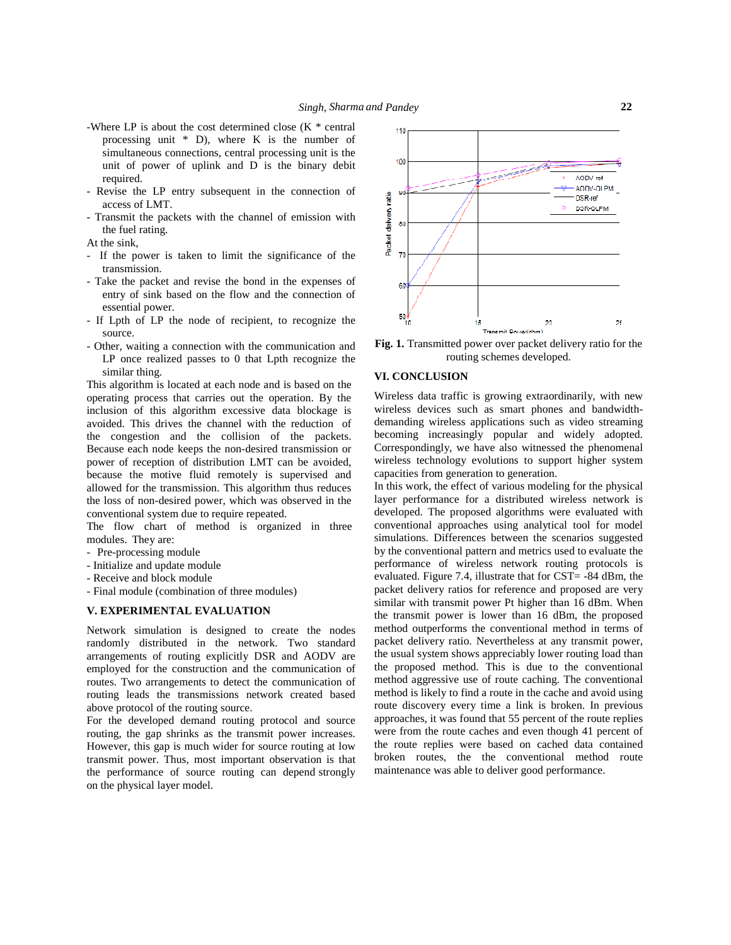- -Where LP is about the cost determined close (K \* central processing unit \* D), where K is the number of simultaneous connections, central processing unit is the unit of power of uplink and D is the binary debit required.
- access of LMT.
- Revise the LP entry subsequent in the connection of<br>
access of LMT.<br>
 Transmit the packets with the channel of emission with<br>
the fuel rating.<br>
At the sink,<br>
F the space is taken to limit the significance of the - Transmit the packets with the channel of emission with the fuel rating.

At the sink,

- If the power is taken to limit the significance of the transmission.
- Take the packet and revise the bond in the expenses of entry of sink based on the flow and the connection of essential power.
- If Lpth of LP the node of recipient, to recognize the source.
- Other, waiting a connection with the communication and LP once realized passes to 0 that Lpth recognize the similar thing.

This algorithm is located at each node and is based on the operating process that carries out the operation. By the inclusion of this algorithm excessive data blockage is avoided. This drives the channel with the reduction of the congestion and the collision of the packets. Because each node keeps the non-desired transmission or power of reception of distribution LMT can be avoided, because the motive fluid remotely is supervised and allowed for the transmission. This algorithm thus reduces the loss of non-desired power, which was observed in the conventional system due to require repeated.

The flow chart of method is organized in three modules. They are:

- Pre-processing module
- Initialize and update module
- Receive and block module
- Final module (combination of three modules)

### **V. EXPERIMENTAL EVALUATION**

Network simulation is designed to create the nodes randomly distributed in the network. Two standard arrangements of routing explicitly DSR and AODV are employed for the construction and the communication of routes. Two arrangements to detect the communication of routing leads the transmissions network created based above protocol of the routing source.

For the developed demand routing protocol and source routing, the gap shrinks as the transmit power increases. However, this gap is much wider for source routing at low transmit power. Thus, most important observation is that the performance of source routing can depend strongly on the physical layer model.



**Fig. 1.** Transmitted power over packet delivery ratio for the routing schemes developed.

## **VI. CONCLUSION**

Wireless data traffic is growing extraordinarily, with new wireless devices such as smart phones and bandwidth demanding wireless applications such as video streaming becoming increasingly popular and widely adopted. Correspondingly, we have also witnessed the phenomenal wireless technology evolutions to support higher system capacities from generation to generation.

In this work, the effect of various modeling for the physical layer performance for a distributed wireless network is developed. The proposed algorithms were evaluated with conventional approaches using analytical tool for model simulations. Differences between the scenarios suggested by the conventional pattern and metrics used to evaluate the performance of wireless network routing protocols is evaluated. Figure 7.4, illustrate that for CST= -84 dBm, the packet delivery ratios for reference and proposed are very similar with transmit power Pt higher than 16 dBm. When the transmit power is lower than 16 dBm, the proposed method outperforms the conventional method in terms of packet delivery ratio. Nevertheless at any transmit power, the usual system shows appreciably lower routing load than the proposed method. This is due to the conventional method aggressive use of route caching. The conventional method is likely to find a route in the cache and avoid using route discovery every time a link is broken. In previous approaches, it was found that 55 percent of the route replies were from the route caches and even though 41 percent of the route replies were based on cached data contained broken routes, the the conventional method route maintenance was able to deliver good performance.